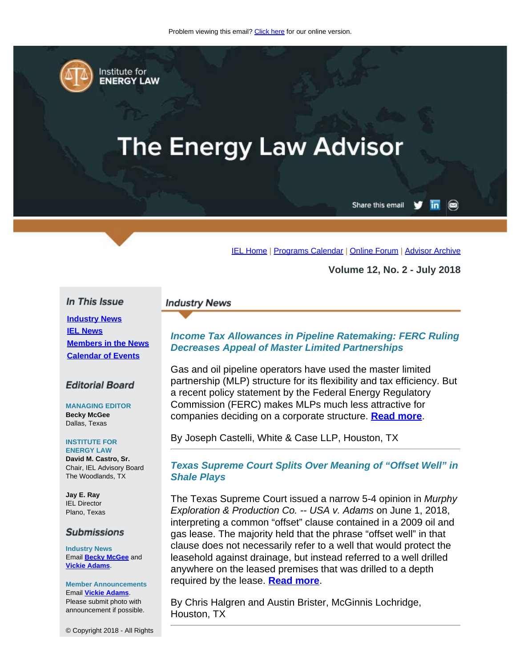<span id="page-0-0"></span>

Institute for **ENERGY LAW** 

# **The Energy Law Advisor**

Share this email in

[IEL Home](http://www.cailaw.org/institute-for-energy-law/index.html?utm_source=Informz&utm_medium=Email&utm_campaign=Event+Details) | [Programs Calendar](http://www.cailaw.org/institute-for-energy-law/programs-calendar.html?utm_source=Informz&utm_medium=Email&utm_campaign=Event+Details) | [Online Forum](https://www.linkedin.com/groups?gid=2330688&trk=myg_ugrp_ovr) | [Advisor Archive](http://www.cailaw.org/institute-for-energy-law/publications/energy-law-advisor.html?utm_source=Informz&utm_medium=Email&utm_campaign=Event+Details)

**Volume 12, No. 2 - July 2018**

#### In This Issue

**[Industry News](#page-0-0) [IEL News](#page-0-0) [Members in the News](#page-0-0) [Calendar of Events](#page-0-0)**

#### **Editorial Board**

**MANAGING EDITOR Becky McGee** Dallas, Texas

#### **INSTITUTE FOR**

**ENERGY LAW David M. Castro, Sr.** Chair, IEL Advisory Board The Woodlands, TX

**Jay E. Ray** IEL Director Plano, Texas

#### **Submissions**

**Industry News** Email **[Becky McGee](mailto:beckymcgee@charter.net)** and **[Vickie Adams](mailto:vadams@cailaw.org)**.

#### **Member Announcements** Email **[Vickie Adams](mailto:vadams@cailaw.org)**.

Please submit photo with announcement if possible.

© Copyright 2018 - All Rights

#### **Industry News**

## *Income Tax Allowances in Pipeline Ratemaking: FERC Ruling Decreases Appeal of Master Limited Partnerships*

Gas and oil pipeline operators have used the master limited partnership (MLP) structure for its flexibility and tax efficiency. But a recent policy statement by the Federal Energy Regulatory Commission (FERC) makes MLPs much less attractive for companies deciding on a corporate structure. **[Read more](http://www.cailaw.org/media/files/IEL/Publications/2018/castelli-vol12no2.pdf)**.

By Joseph Castelli, White & Case LLP, Houston, TX

## *Texas Supreme Court Splits Over Meaning of "Offset Well" in Shale Plays*

The Texas Supreme Court issued a narrow 5-4 opinion in *Murphy Exploration & Production Co. -- USA v. Adams* on June 1, 2018, interpreting a common "offset" clause contained in a 2009 oil and gas lease. The majority held that the phrase "offset well" in that clause does not necessarily refer to a well that would protect the leasehold against drainage, but instead referred to a well drilled anywhere on the leased premises that was drilled to a depth required by the lease. **[Read more](http://www.cailaw.org/media/files/IEL/Publications/2018/halgren-brister-vol12no2.pdf)**.

By Chris Halgren and Austin Brister, McGinnis Lochridge, Houston, TX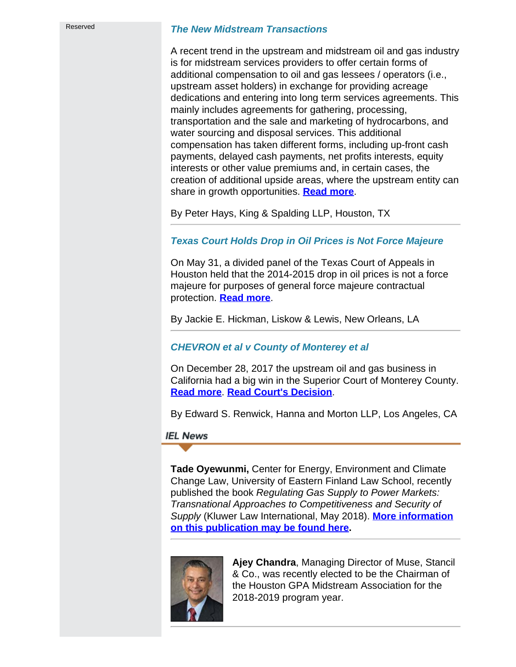#### *The New Midstream Transactions*

A recent trend in the upstream and midstream oil and gas industry is for midstream services providers to offer certain forms of additional compensation to oil and gas lessees / operators (i.e., upstream asset holders) in exchange for providing acreage dedications and entering into long term services agreements. This mainly includes agreements for gathering, processing, transportation and the sale and marketing of hydrocarbons, and water sourcing and disposal services. This additional compensation has taken different forms, including up-front cash payments, delayed cash payments, net profits interests, equity interests or other value premiums and, in certain cases, the creation of additional upside areas, where the upstream entity can share in growth opportunities. **[Read more](http://www.cailaw.org/media/files/IEL/Publications/2018/hays-vol12no2.pdf)**.

By Peter Hays, King & Spalding LLP, Houston, TX

## *Texas Court Holds Drop in Oil Prices is Not Force Majeure*

On May 31, a divided panel of the Texas Court of Appeals in Houston held that the 2014-2015 drop in oil prices is not a force majeure for purposes of general force majeure contractual protection. **[Read more](http://www.cailaw.org/media/files/IEL/Publications/2018/hickman-vol12no2.pdf)**.

By Jackie E. Hickman, Liskow & Lewis, New Orleans, LA

## *CHEVRON et al v County of Monterey et al*

On December 28, 2017 the upstream oil and gas business in California had a big win in the Superior Court of Monterey County. **[Read more](http://www.cailaw.org/media/files/IEL/Publications/2018/renwick-vol12no2.pdf)**. **[Read Court's Decision](http://www.cailaw.org/media/files/IEL/Publications/2018/renwick-2-vol12no2.pdf)**.

By Edward S. Renwick, Hanna and Morton LLP, Los Angeles, CA

#### **IEL News**

**Tade Oyewunmi,** Center for Energy, Environment and Climate Change Law, University of Eastern Finland Law School, recently published the book *Regulating Gas Supply to Power Markets: Transnational Approaches to Competitiveness and Security of Supply* (Kluwer Law International, May 2018). **[More information](http://www.cailaw.org/media/files/IEL/Publications/2018/book-publication-vol12no2.pdf) [on this publication may be found here](http://www.cailaw.org/media/files/IEL/Publications/2018/book-publication-vol12no2.pdf).**



**Ajey Chandra**, Managing Director of Muse, Stancil & Co., was recently elected to be the Chairman of the Houston GPA Midstream Association for the 2018-2019 program year.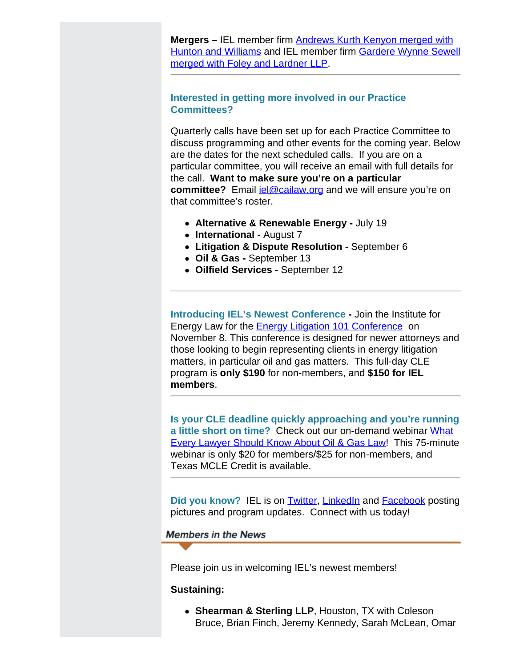**Mergers –** IEL member firm [Andrews Kurth Kenyon merged with](https://www.hunton.com/en/news/hunton-williams-and-andrews-kurth-kenyon-vote-to-combine-firms.html) [Hunton and Williams](https://www.hunton.com/en/news/hunton-williams-and-andrews-kurth-kenyon-vote-to-combine-firms.html) and IEL member firm [Gardere Wynne Sewell](https://www.foley.com/Foley--Lardner-LLP-and-Gardere-Wynne-Sewell-LLP-Complete-Combination/) [merged with Foley and Lardner LLP.](https://www.foley.com/Foley--Lardner-LLP-and-Gardere-Wynne-Sewell-LLP-Complete-Combination/)

## **Interested in getting more involved in our Practice Committees?**

Quarterly calls have been set up for each Practice Committee to discuss programming and other events for the coming year. Below are the dates for the next scheduled calls. If you are on a particular committee, you will receive an email with full details for the call. **Want to make sure you're on a particular committee?** Email jel@cailaw.org and we will ensure you're on that committee's roster.

- **Alternative & Renewable Energy -** July 19
- **International -** August 7
- **Litigation & Dispute Resolution -** September 6
- **Oil & Gas** September 13
- **Oilfield Services** September 12

**Introducing IEL's Newest Conference -** Join the Institute for Energy Law for the **Energy Litigation 101 Conference** on November 8. This conference is designed for newer attorneys and those looking to begin representing clients in energy litigation matters, in particular oil and gas matters. This full-day CLE program is **only \$190** for non-members, and **\$150 for IEL members**.

**Is your CLE deadline quickly approaching and you're running a little short on time?** Check out our on-demand webinar [What](http://www.cailaw.org/institute-for-energy-law/events/2018/every-lawyer-webinar.html?utm_source=Informz&utm_medium=Email&utm_campaign=Event+Details) [Every Lawyer Should Know About Oil & Gas Law!](http://www.cailaw.org/institute-for-energy-law/events/2018/every-lawyer-webinar.html?utm_source=Informz&utm_medium=Email&utm_campaign=Event+Details) This 75-minute webinar is only \$20 for members/\$25 for non-members, and Texas MCLE Credit is available.

**Did you know?** IEL is on **Twitter, [LinkedIn](https://www.linkedin.com/groups/2330688)** and **Facebook** posting pictures and program updates. Connect with us today!

**Members in the News** 

Please join us in welcoming IEL's newest members!

#### **Sustaining:**

**Shearman & Sterling LLP**, Houston, TX with Coleson Bruce, Brian Finch, Jeremy Kennedy, Sarah McLean, Omar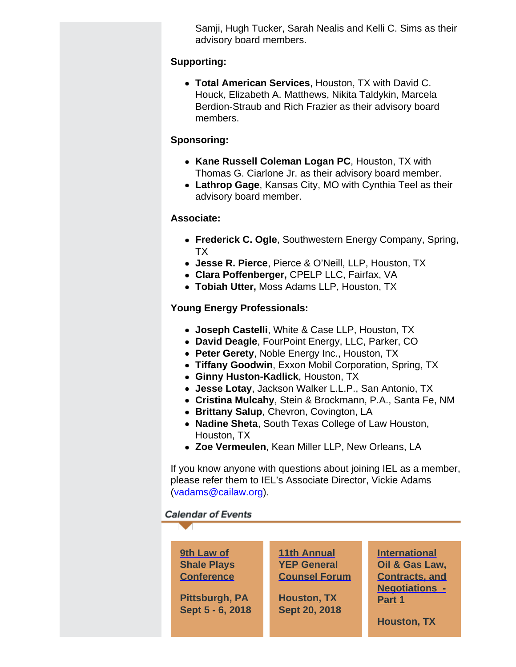Samji, Hugh Tucker, Sarah Nealis and Kelli C. Sims as their advisory board members.

# **Supporting:**

**Total American Services**, Houston, TX with David C. Houck, Elizabeth A. Matthews, Nikita Taldykin, Marcela Berdion-Straub and Rich Frazier as their advisory board members.

# **Sponsoring:**

- **Kane Russell Coleman Logan PC**, Houston, TX with Thomas G. Ciarlone Jr. as their advisory board member.
- **Lathrop Gage**, Kansas City, MO with Cynthia Teel as their advisory board member.

# **Associate:**

- **Frederick C. Ogle**, Southwestern Energy Company, Spring, TX
- **Jesse R. Pierce**, Pierce & O'Neill, LLP, Houston, TX
- **Clara Poffenberger,** CPELP LLC, Fairfax, VA
- **Tobiah Utter,** Moss Adams LLP, Houston, TX

# **Young Energy Professionals:**

- **Joseph Castelli**, White & Case LLP, Houston, TX
- **David Deagle**, FourPoint Energy, LLC, Parker, CO
- **Peter Gerety**, Noble Energy Inc., Houston, TX
- **Tiffany Goodwin**, Exxon Mobil Corporation, Spring, TX
- **Ginny Huston-Kadlick**, Houston, TX
- **Jesse Lotay**, Jackson Walker L.L.P., San Antonio, TX
- **Cristina Mulcahy**, Stein & Brockmann, P.A., Santa Fe, NM
- **Brittany Salup**, Chevron, Covington, LA
- **Nadine Sheta**, South Texas College of Law Houston, Houston, TX
- **Zoe Vermeulen**, Kean Miller LLP, New Orleans, LA

If you know anyone with questions about joining IEL as a member, please refer them to IEL's Associate Director, Vickie Adams [\(vadams@cailaw.org](mailto:vadams@cailaw.org)).

# **Calendar of Events**

| 9th Law of<br><b>Shale Plays</b><br><b>Conference</b><br>Pittsburgh, PA<br>Sept 5 - 6, 2018 | <b>11th Annual</b><br><b>YEP General</b><br><b>Counsel Forum</b><br><b>Houston, TX</b><br>Sept 20, 2018 | <b>International</b><br>Oil & Gas Law.<br><b>Contracts, and</b><br><b>Negotiations -</b><br>Part 1<br><b>Houston, TX</b> |
|---------------------------------------------------------------------------------------------|---------------------------------------------------------------------------------------------------------|--------------------------------------------------------------------------------------------------------------------------|